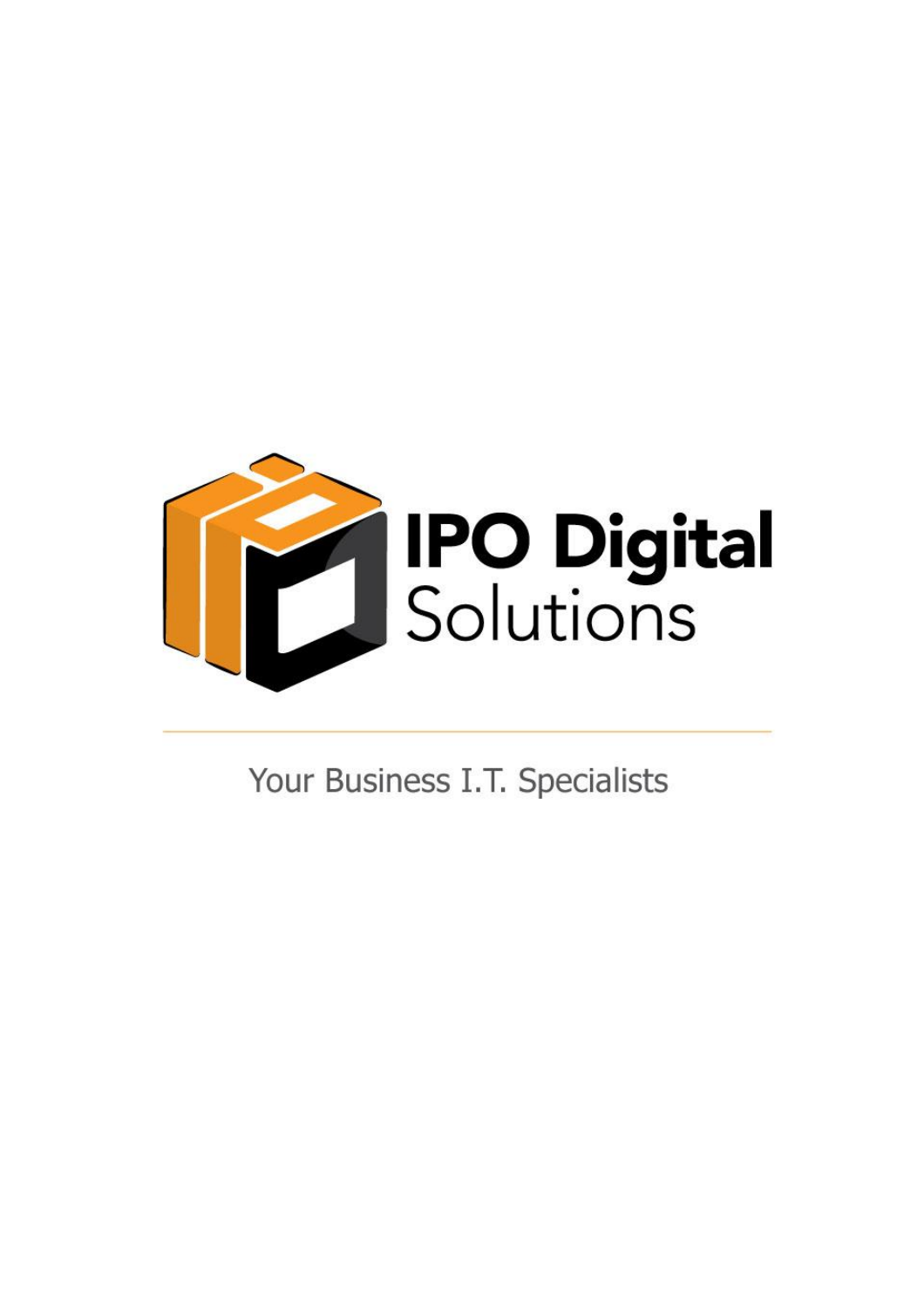

Your Business I.T. Specialists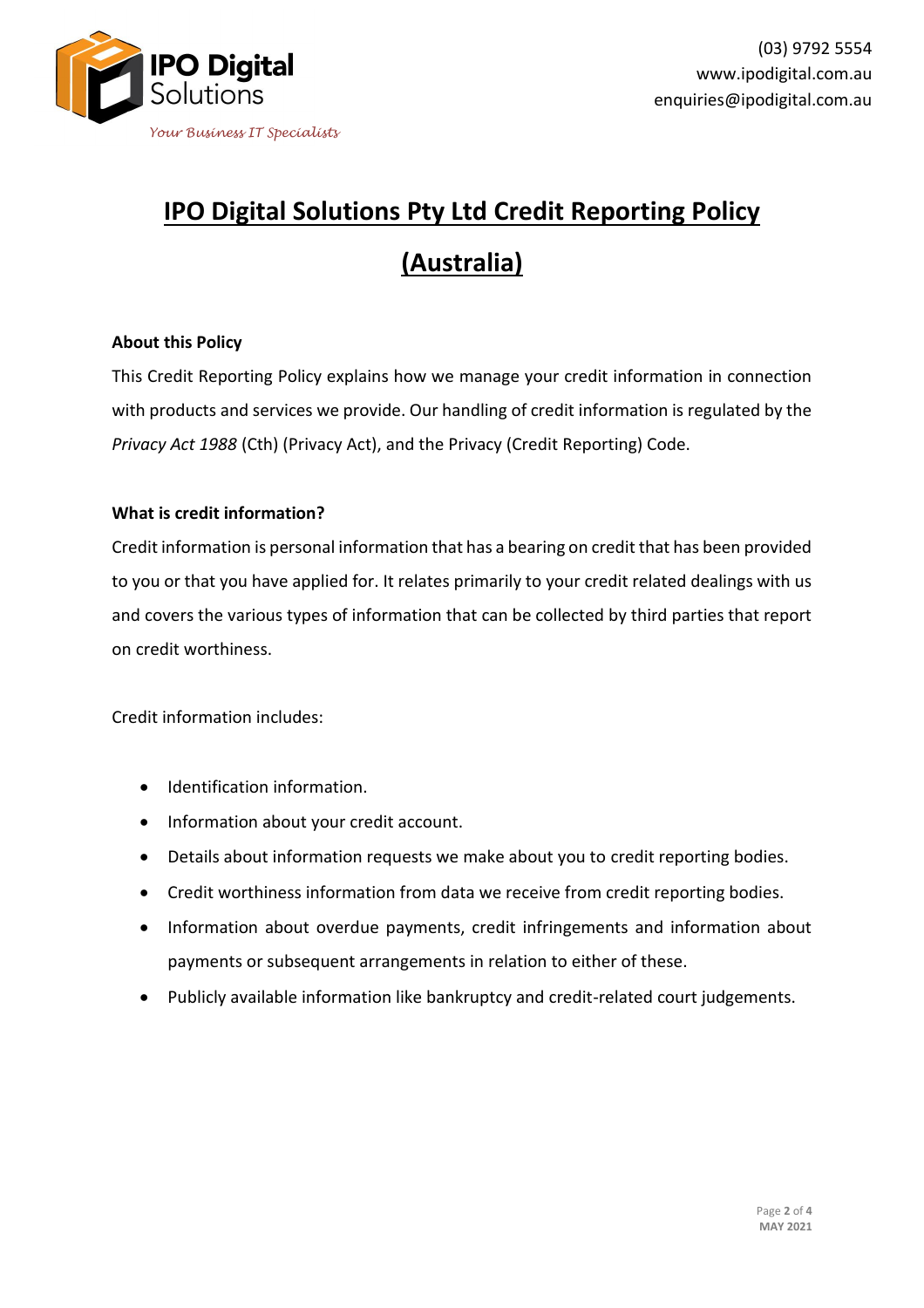

# **IPO Digital Solutions Pty Ltd Credit Reporting Policy (Australia)**

# **About this Policy**

This Credit Reporting Policy explains how we manage your credit information in connection with products and services we provide. Our handling of credit information is regulated by the *Privacy Act 1988* (Cth) (Privacy Act), and the Privacy (Credit Reporting) Code.

## **What is credit information?**

Credit information is personal information that has a bearing on credit that has been provided to you or that you have applied for. It relates primarily to your credit related dealings with us and covers the various types of information that can be collected by third parties that report on credit worthiness.

Credit information includes:

- Identification information.
- Information about your credit account.
- Details about information requests we make about you to credit reporting bodies.
- Credit worthiness information from data we receive from credit reporting bodies.
- Information about overdue payments, credit infringements and information about payments or subsequent arrangements in relation to either of these.
- Publicly available information like bankruptcy and credit-related court judgements.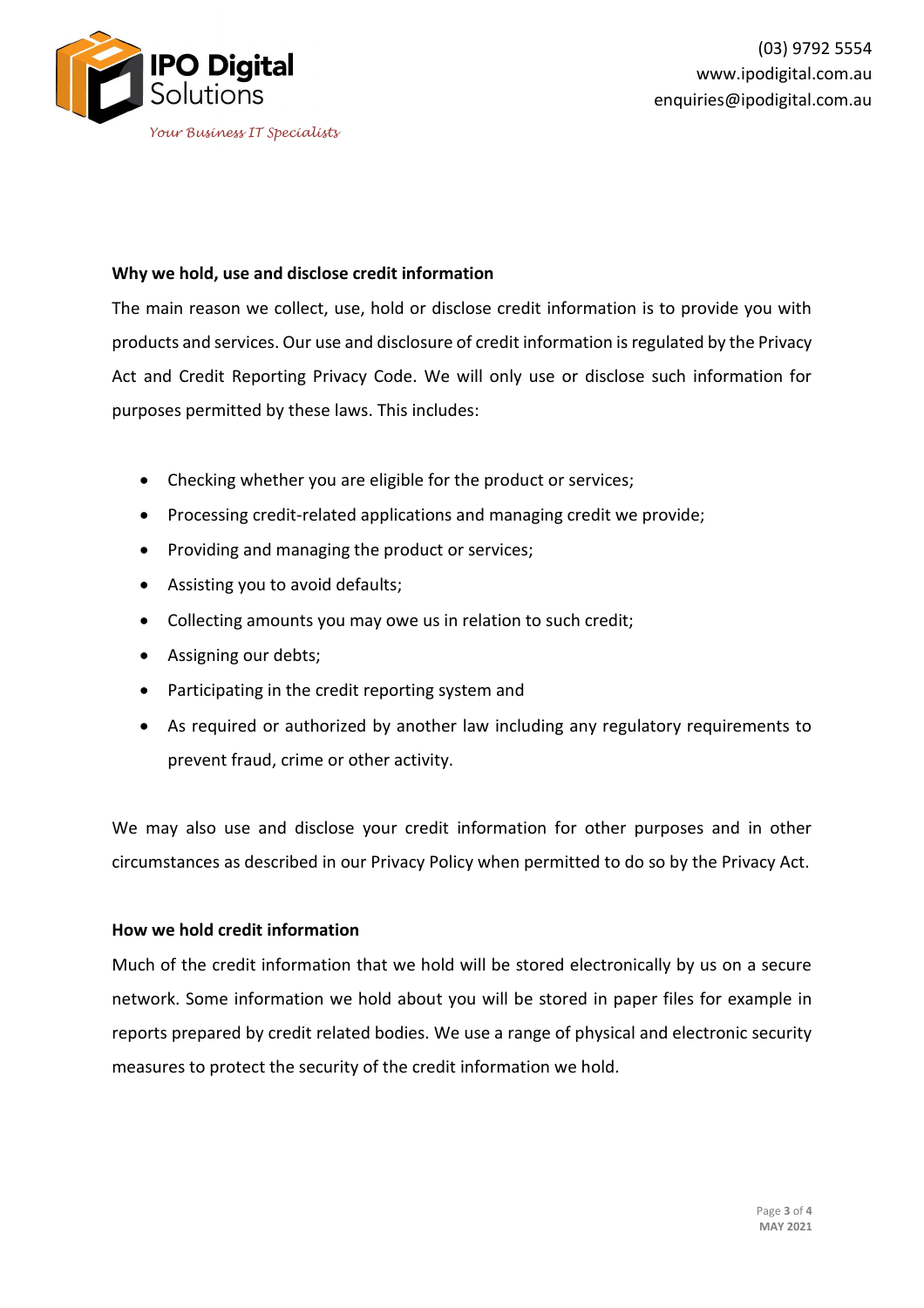

### **Why we hold, use and disclose credit information**

The main reason we collect, use, hold or disclose credit information is to provide you with products and services. Our use and disclosure of credit information is regulated by the Privacy Act and Credit Reporting Privacy Code. We will only use or disclose such information for purposes permitted by these laws. This includes:

- Checking whether you are eligible for the product or services;
- Processing credit-related applications and managing credit we provide;
- Providing and managing the product or services;
- Assisting you to avoid defaults;
- Collecting amounts you may owe us in relation to such credit;
- Assigning our debts;
- Participating in the credit reporting system and
- As required or authorized by another law including any regulatory requirements to prevent fraud, crime or other activity.

We may also use and disclose your credit information for other purposes and in other circumstances as described in our Privacy Policy when permitted to do so by the Privacy Act.

# **How we hold credit information**

Much of the credit information that we hold will be stored electronically by us on a secure network. Some information we hold about you will be stored in paper files for example in reports prepared by credit related bodies. We use a range of physical and electronic security measures to protect the security of the credit information we hold.